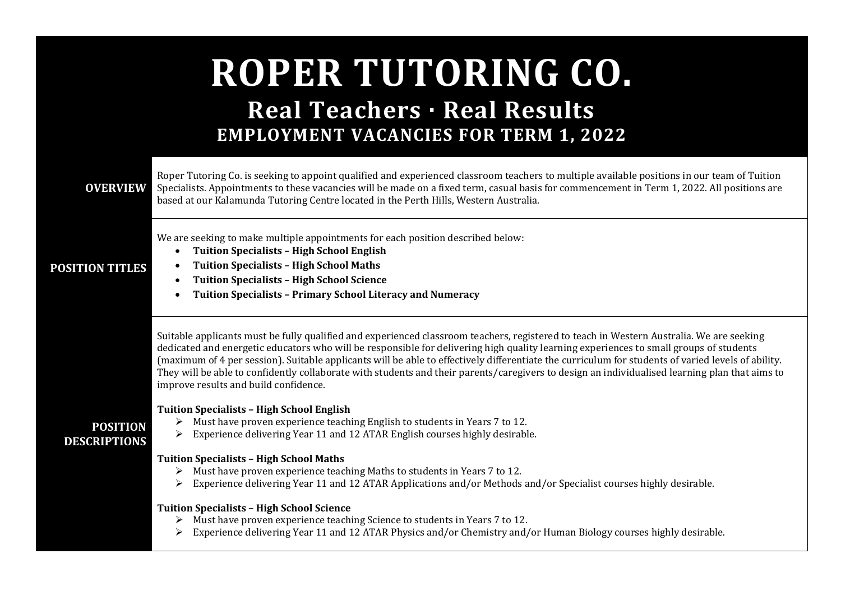# **ROPER TUTORING CO. Real Teachers · Real Results**

# **EMPLOYMENT VACANCIES FOR TERM 1, 2022**



**POSITION DESCRIPTIONS**

Roper Tutoring Co. is seeking to appoint qualified and experienced classroom teachers to multiple available positions in our team of Tuition Specialists. Appointments to these vacancies will be made on a fixed term, casual basis for commencement in Term 1, 2022. All positions are based at our Kalamunda Tutoring Centre located in the Perth Hills, Western Australia.

We are seeking to make multiple appointments for each position described below:

• **Tuition Specialists – High School English**  • **Tuition Specialists – High School Maths**

## **POSITION TITLES**

- **Tuition Specialists – High School Science**
- **Tuition Specialists – Primary School Literacy and Numeracy**

Suitable applicants must be fully qualified and experienced classroom teachers, registered to teach in Western Australia. We are seeking dedicated and energetic educators who will be responsible for delivering high quality learning experiences to small groups of students (maximum of 4 per session). Suitable applicants will be able to effectively differentiate the curriculum for students of varied levels of ability. They will be able to confidently collaborate with students and their parents/caregivers to design an individualised learning plan that aims to improve results and build confidence.

### **Tuition Specialists – High School English**

- ➢ Must have proven experience teaching English to students in Years 7 to 12.
- ➢ Experience delivering Year 11 and 12 ATAR English courses highly desirable.

#### **Tuition Specialists – High School Maths**

- ➢ Must have proven experience teaching Maths to students in Years 7 to 12.
- ➢ Experience delivering Year 11 and 12 ATAR Applications and/or Methods and/or Specialist courses highly desirable.

#### **Tuition Specialists – High School Science**

- ➢ Must have proven experience teaching Science to students in Years 7 to 12.
- $\triangleright$  Experience delivering Year 11 and 12 ATAR Physics and/or Chemistry and/or Human Biology courses highly desirable.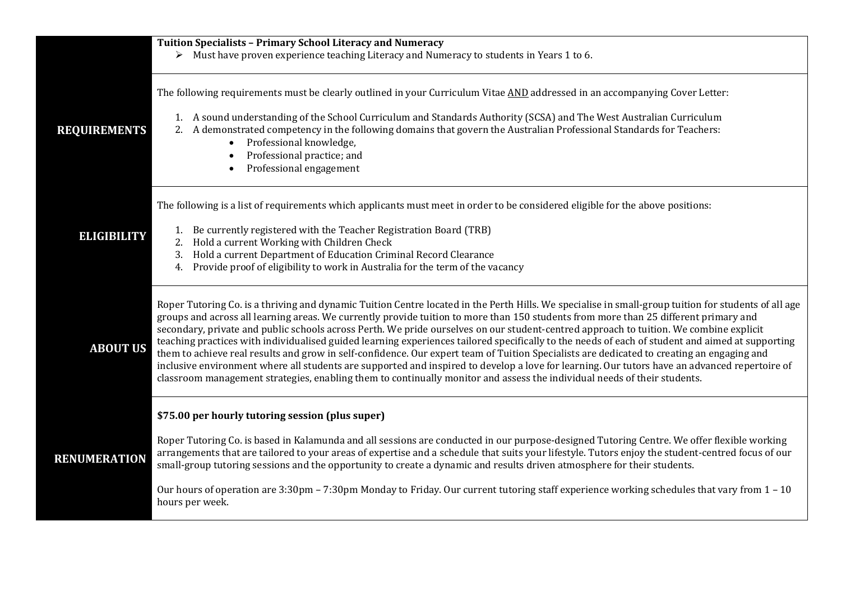|                     | Tuition Specialists - Primary School Literacy and Numeracy<br>$\triangleright$ Must have proven experience teaching Literacy and Numeracy to students in Years 1 to 6.                                                                                                                                                                                                                                                                                                                                                                                                                                                                                                                                                                                                                                                                                                                                                                                                                                                |
|---------------------|-----------------------------------------------------------------------------------------------------------------------------------------------------------------------------------------------------------------------------------------------------------------------------------------------------------------------------------------------------------------------------------------------------------------------------------------------------------------------------------------------------------------------------------------------------------------------------------------------------------------------------------------------------------------------------------------------------------------------------------------------------------------------------------------------------------------------------------------------------------------------------------------------------------------------------------------------------------------------------------------------------------------------|
| <b>REQUIREMENTS</b> | The following requirements must be clearly outlined in your Curriculum Vitae AND addressed in an accompanying Cover Letter:<br>1. A sound understanding of the School Curriculum and Standards Authority (SCSA) and The West Australian Curriculum<br>2. A demonstrated competency in the following domains that govern the Australian Professional Standards for Teachers:<br>Professional knowledge,<br>$\bullet$<br>Professional practice; and<br>Professional engagement<br>$\bullet$                                                                                                                                                                                                                                                                                                                                                                                                                                                                                                                             |
| <b>ELIGIBILITY</b>  | The following is a list of requirements which applicants must meet in order to be considered eligible for the above positions:<br>1. Be currently registered with the Teacher Registration Board (TRB)<br>2. Hold a current Working with Children Check<br>Hold a current Department of Education Criminal Record Clearance<br>3.<br>Provide proof of eligibility to work in Australia for the term of the vacancy<br>4.                                                                                                                                                                                                                                                                                                                                                                                                                                                                                                                                                                                              |
| <b>ABOUT US</b>     | Roper Tutoring Co. is a thriving and dynamic Tuition Centre located in the Perth Hills. We specialise in small-group tuition for students of all age<br>groups and across all learning areas. We currently provide tuition to more than 150 students from more than 25 different primary and<br>secondary, private and public schools across Perth. We pride ourselves on our student-centred approach to tuition. We combine explicit<br>teaching practices with individualised guided learning experiences tailored specifically to the needs of each of student and aimed at supporting<br>them to achieve real results and grow in self-confidence. Our expert team of Tuition Specialists are dedicated to creating an engaging and<br>inclusive environment where all students are supported and inspired to develop a love for learning. Our tutors have an advanced repertoire of<br>classroom management strategies, enabling them to continually monitor and assess the individual needs of their students. |
| <b>RENUMERATION</b> | \$75.00 per hourly tutoring session (plus super)<br>Roper Tutoring Co. is based in Kalamunda and all sessions are conducted in our purpose-designed Tutoring Centre. We offer flexible working<br>arrangements that are tailored to your areas of expertise and a schedule that suits your lifestyle. Tutors enjoy the student-centred focus of our<br>small-group tutoring sessions and the opportunity to create a dynamic and results driven atmosphere for their students.<br>Our hours of operation are 3:30pm - 7:30pm Monday to Friday. Our current tutoring staff experience working schedules that vary from 1 - 10<br>hours per week.                                                                                                                                                                                                                                                                                                                                                                       |